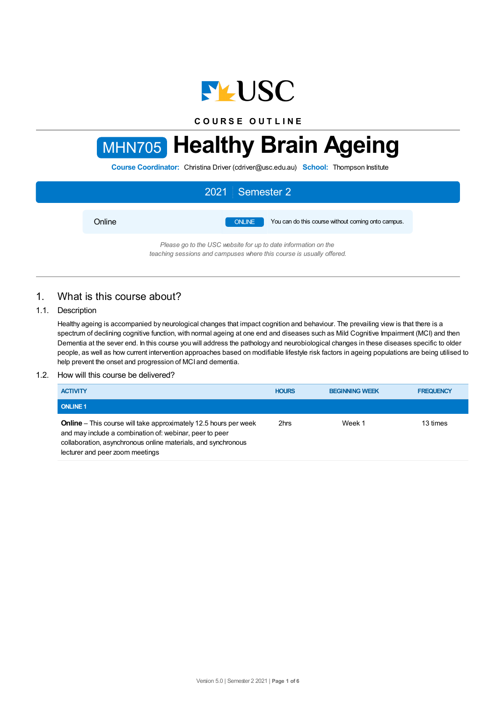

**C O U R S E O U T L I N E**

# MHN705 **Healthy Brain Ageing**

**Course Coordinator:** Christina Driver (cdriver@usc.edu.au) **School:** Thompson Institute

|        | 2021 Semester 2                                                     |
|--------|---------------------------------------------------------------------|
| Online | <b>ONLINE</b><br>You can do this course without coming onto campus. |
|        | Please go to the USC website for up to date information on the      |

*teaching sessions and campuses where this course is usually offered.*

# 1. What is this course about?

# 1.1. Description

Healthy ageing is accompanied by neurological changes that impact cognition and behaviour. The prevailing view is that there is a spectrum of declining cognitive function, with normal ageing at one end and diseases such as Mild Cognitive Impairment (MCI) and then Dementia at the sever end. In this course you will address the pathology and neurobiological changes in these diseases specific to older people, as well as how current intervention approaches based on modifiable lifestyle risk factors in ageing populations are being utilised to help prevent the onset and progression of MCI and dementia.

## 1.2. How will this course be delivered?

| <b>ACTIVITY</b>                                                                                                                                                                                                                        | <b>HOURS</b> | <b>BEGINNING WEEK</b> | <b>FREQUENCY</b> |
|----------------------------------------------------------------------------------------------------------------------------------------------------------------------------------------------------------------------------------------|--------------|-----------------------|------------------|
| <b>ONLINE 1</b>                                                                                                                                                                                                                        |              |                       |                  |
| <b>Online</b> – This course will take approximately 12.5 hours per week<br>and may include a combination of: webinar, peer to peer<br>collaboration, asynchronous online materials, and synchronous<br>lecturer and peer zoom meetings | 2hrs         | Week 1                | 13 times         |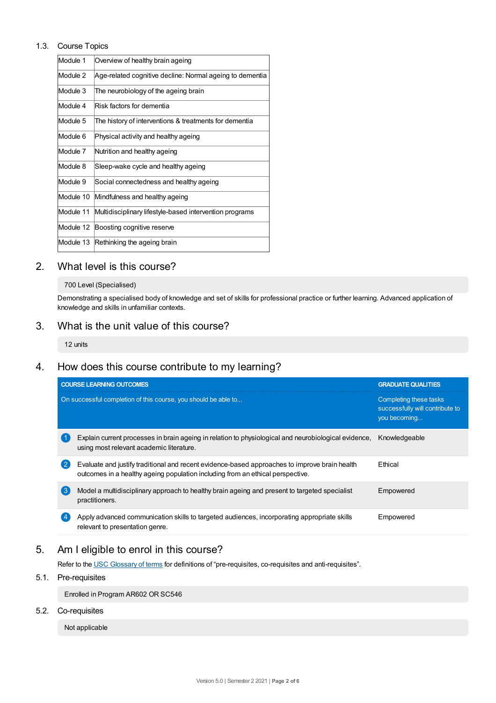## 1.3. Course Topics

| Overview of healthy brain ageing                         |
|----------------------------------------------------------|
| Age-related cognitive decline: Normal ageing to dementia |
| The neurobiology of the ageing brain                     |
| Risk factors for dementia                                |
| The history of interventions & treatments for dementia   |
| Physical activity and healthy ageing                     |
| Nutrition and healthy ageing                             |
| Sleep-wake cycle and healthy ageing                      |
| Social connectedness and healthy ageing                  |
| Mindfulness and healthy ageing                           |
| Multidisciplinary lifestyle-based intervention programs  |
| Boosting cognitive reserve                               |
| Rethinking the ageing brain                              |
|                                                          |

# 2. What level is this course?

### 700 Level (Specialised)

Demonstrating a specialised body of knowledge and set of skills for professional practice or further learning. Advanced application of knowledge and skills in unfamiliar contexts.

# 3. What is the unit value of this course?

12 units

# 4. How does this course contribute to my learning?

|              | <b>COURSE LEARNING OUTCOMES</b>                                                                                                                                                 | <b>GRADUATE QUALITIES</b>                                                 |
|--------------|---------------------------------------------------------------------------------------------------------------------------------------------------------------------------------|---------------------------------------------------------------------------|
|              | On successful completion of this course, you should be able to                                                                                                                  | Completing these tasks<br>successfully will contribute to<br>you becoming |
|              | Explain current processes in brain ageing in relation to physiological and neurobiological evidence,<br>using most relevant academic literature.                                | Knowledgeable                                                             |
| $\mathbf{2}$ | Evaluate and justify traditional and recent evidence-based approaches to improve brain health<br>outcomes in a healthy ageing population including from an ethical perspective. | <b>F</b> thical                                                           |
| 3            | Model a multidisciplinary approach to healthy brain ageing and present to targeted specialist<br>practitioners.                                                                 | Empowered                                                                 |
|              | Apply advanced communication skills to targeted audiences, incorporating appropriate skills<br>relevant to presentation genre.                                                  | Empowered                                                                 |

# 5. Am Ieligible to enrol in this course?

Refer to the USC [Glossary](https://www.usc.edu.au/about/policies-and-procedures/glossary-of-terms-for-policy-and-procedures) of terms for definitions of "pre-requisites, co-requisites and anti-requisites".

# 5.1. Pre-requisites

Enrolled in Program AR602 OR SC546

## 5.2. Co-requisites

Not applicable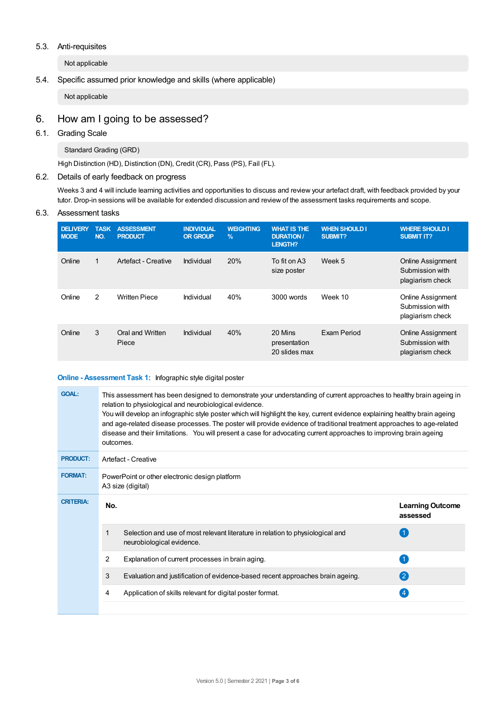### 5.3. Anti-requisites

Not applicable

## 5.4. Specific assumed prior knowledge and skills (where applicable)

Not applicable

# 6. How am Igoing to be assessed?

## 6.1. Grading Scale

Standard Grading (GRD)

High Distinction (HD), Distinction (DN), Credit (CR), Pass (PS), Fail (FL).

## 6.2. Details of early feedback on progress

Weeks 3 and 4 will include learning activities and opportunities to discuss and review your artefact draft, with feedback provided by your tutor. Drop-in sessions will be available for extended discussion and review of the assessment tasks requirements and scope.

#### 6.3. Assessment tasks

| <b>DELIVERY</b><br><b>MODE</b> | <b>TASK</b><br>NO. | <b>ASSESSMENT</b><br><b>PRODUCT</b> | <b>INDIVIDUAL</b><br><b>OR GROUP</b> | <b>WEIGHTING</b><br>$\frac{9}{6}$ | <b>WHAT IS THE</b><br><b>DURATION /</b><br><b>LENGTH?</b> | <b>WHEN SHOULD I</b><br><b>SUBMIT?</b> | <b>WHERE SHOULD I</b><br><b>SUBMIT IT?</b>                      |
|--------------------------------|--------------------|-------------------------------------|--------------------------------------|-----------------------------------|-----------------------------------------------------------|----------------------------------------|-----------------------------------------------------------------|
| Online                         | 1                  | Artefact - Creative                 | Individual                           | 20%                               | To fit on A3<br>size poster                               | Week 5                                 | <b>Online Assignment</b><br>Submission with<br>plagiarism check |
| Online                         | 2                  | <b>Written Piece</b>                | Individual                           | 40%                               | 3000 words                                                | Week 10                                | <b>Online Assignment</b><br>Submission with<br>plagiarism check |
| Online                         | 3                  | Oral and Written<br>Piece           | Individual                           | 40%                               | 20 Mins<br>presentation<br>20 slides max                  | Exam Period                            | <b>Online Assignment</b><br>Submission with<br>plagiarism check |

#### **Online - Assessment Task 1:** Infographic style digital poster

| <b>GOAL:</b>     | outcomes.                                                           | This assessment has been designed to demonstrate your understanding of current approaches to healthy brain ageing in<br>relation to physiological and neurobiological evidence.<br>You will develop an infographic style poster which will highlight the key, current evidence explaining healthy brain ageing<br>and age-related disease processes. The poster will provide evidence of traditional treatment approaches to age-related<br>disease and their limitations. You will present a case for advocating current approaches to improving brain ageing |                                     |  |  |
|------------------|---------------------------------------------------------------------|----------------------------------------------------------------------------------------------------------------------------------------------------------------------------------------------------------------------------------------------------------------------------------------------------------------------------------------------------------------------------------------------------------------------------------------------------------------------------------------------------------------------------------------------------------------|-------------------------------------|--|--|
| <b>PRODUCT:</b>  | Artefact - Creative                                                 |                                                                                                                                                                                                                                                                                                                                                                                                                                                                                                                                                                |                                     |  |  |
| <b>FORMAT:</b>   | PowerPoint or other electronic design platform<br>A3 size (digital) |                                                                                                                                                                                                                                                                                                                                                                                                                                                                                                                                                                |                                     |  |  |
| <b>CRITERIA:</b> | No.                                                                 |                                                                                                                                                                                                                                                                                                                                                                                                                                                                                                                                                                | <b>Learning Outcome</b><br>assessed |  |  |
|                  | 1                                                                   | Selection and use of most relevant literature in relation to physiological and<br>neurobiological evidence.                                                                                                                                                                                                                                                                                                                                                                                                                                                    |                                     |  |  |
|                  | 2                                                                   | Explanation of current processes in brain aging.                                                                                                                                                                                                                                                                                                                                                                                                                                                                                                               |                                     |  |  |
|                  | 3                                                                   | Evaluation and justification of evidence-based recent approaches brain ageing.                                                                                                                                                                                                                                                                                                                                                                                                                                                                                 | $\bf{2}$                            |  |  |
|                  | 4                                                                   | Application of skills relevant for digital poster format.                                                                                                                                                                                                                                                                                                                                                                                                                                                                                                      | 4                                   |  |  |
|                  |                                                                     |                                                                                                                                                                                                                                                                                                                                                                                                                                                                                                                                                                |                                     |  |  |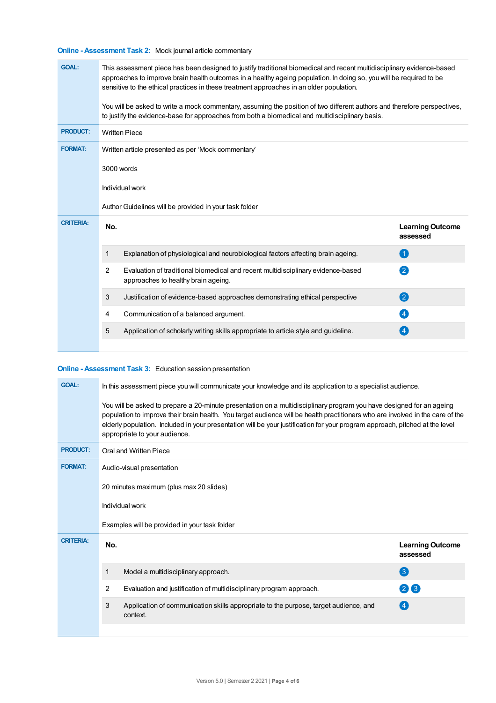# **Online - Assessment Task 2:** Mock journal article commentary

| <b>GOAL:</b>     |                                                    | This assessment piece has been designed to justify traditional biomedical and recent multidisciplinary evidence-based<br>approaches to improve brain health outcomes in a healthy ageing population. In doing so, you will be required to be<br>sensitive to the ethical practices in these treatment approaches in an older population.<br>You will be asked to write a mock commentary, assuming the position of two different authors and therefore perspectives,<br>to justify the evidence-base for approaches from both a biomedical and multidisciplinary basis. |                                     |  |  |  |
|------------------|----------------------------------------------------|-------------------------------------------------------------------------------------------------------------------------------------------------------------------------------------------------------------------------------------------------------------------------------------------------------------------------------------------------------------------------------------------------------------------------------------------------------------------------------------------------------------------------------------------------------------------------|-------------------------------------|--|--|--|
| <b>PRODUCT:</b>  | <b>Written Piece</b>                               |                                                                                                                                                                                                                                                                                                                                                                                                                                                                                                                                                                         |                                     |  |  |  |
| <b>FORMAT:</b>   | Written article presented as per 'Mock commentary' |                                                                                                                                                                                                                                                                                                                                                                                                                                                                                                                                                                         |                                     |  |  |  |
|                  | 3000 words                                         |                                                                                                                                                                                                                                                                                                                                                                                                                                                                                                                                                                         |                                     |  |  |  |
|                  | Individual work                                    |                                                                                                                                                                                                                                                                                                                                                                                                                                                                                                                                                                         |                                     |  |  |  |
|                  |                                                    | Author Guidelines will be provided in your task folder                                                                                                                                                                                                                                                                                                                                                                                                                                                                                                                  |                                     |  |  |  |
| <b>CRITERIA:</b> | No.                                                |                                                                                                                                                                                                                                                                                                                                                                                                                                                                                                                                                                         | <b>Learning Outcome</b><br>assessed |  |  |  |
|                  | 1                                                  | Explanation of physiological and neurobiological factors affecting brain ageing.                                                                                                                                                                                                                                                                                                                                                                                                                                                                                        | $\left( 1\right)$                   |  |  |  |
|                  | $\overline{2}$                                     | Evaluation of traditional biomedical and recent multidisciplinary evidence-based<br>approaches to healthy brain ageing.                                                                                                                                                                                                                                                                                                                                                                                                                                                 | 2                                   |  |  |  |
|                  | 3                                                  | Justification of evidence-based approaches demonstrating ethical perspective                                                                                                                                                                                                                                                                                                                                                                                                                                                                                            | 2                                   |  |  |  |
|                  | 4                                                  | Communication of a balanced argument.                                                                                                                                                                                                                                                                                                                                                                                                                                                                                                                                   | $\left( 4\right)$                   |  |  |  |
|                  | 5                                                  | Application of scholarly writing skills appropriate to article style and guideline.                                                                                                                                                                                                                                                                                                                                                                                                                                                                                     | $\left( 4 \right)$                  |  |  |  |
|                  |                                                    |                                                                                                                                                                                                                                                                                                                                                                                                                                                                                                                                                                         |                                     |  |  |  |

# **Online - Assessment Task 3:** Education session presentation

| <b>GOAL:</b>     | In this assessment piece you will communicate your knowledge and its application to a specialist audience.                                                                                                                                                                                                                                                                                                              |                                                                                                  |                                     |  |  |  |  |
|------------------|-------------------------------------------------------------------------------------------------------------------------------------------------------------------------------------------------------------------------------------------------------------------------------------------------------------------------------------------------------------------------------------------------------------------------|--------------------------------------------------------------------------------------------------|-------------------------------------|--|--|--|--|
|                  | You will be asked to prepare a 20-minute presentation on a multidisciplinary program you have designed for an ageing<br>population to improve their brain health. You target audience will be health practitioners who are involved in the care of the<br>elderly population. Included in your presentation will be your justification for your program approach, pitched at the level<br>appropriate to your audience. |                                                                                                  |                                     |  |  |  |  |
| <b>PRODUCT:</b>  | Oral and Written Piece                                                                                                                                                                                                                                                                                                                                                                                                  |                                                                                                  |                                     |  |  |  |  |
| <b>FORMAT:</b>   | Audio-visual presentation                                                                                                                                                                                                                                                                                                                                                                                               |                                                                                                  |                                     |  |  |  |  |
|                  | 20 minutes maximum (plus max 20 slides)                                                                                                                                                                                                                                                                                                                                                                                 |                                                                                                  |                                     |  |  |  |  |
|                  | Individual work<br>Examples will be provided in your task folder                                                                                                                                                                                                                                                                                                                                                        |                                                                                                  |                                     |  |  |  |  |
|                  |                                                                                                                                                                                                                                                                                                                                                                                                                         |                                                                                                  |                                     |  |  |  |  |
| <b>CRITERIA:</b> | No.                                                                                                                                                                                                                                                                                                                                                                                                                     |                                                                                                  | <b>Learning Outcome</b><br>assessed |  |  |  |  |
|                  | 1                                                                                                                                                                                                                                                                                                                                                                                                                       | Model a multidisciplinary approach.                                                              | 3                                   |  |  |  |  |
|                  | $\overline{2}$                                                                                                                                                                                                                                                                                                                                                                                                          | Evaluation and justification of multidisciplinary program approach.                              | 23                                  |  |  |  |  |
|                  | 3                                                                                                                                                                                                                                                                                                                                                                                                                       | Application of communication skills appropriate to the purpose, target audience, and<br>context. | $\left( 4 \right)$                  |  |  |  |  |
|                  |                                                                                                                                                                                                                                                                                                                                                                                                                         |                                                                                                  |                                     |  |  |  |  |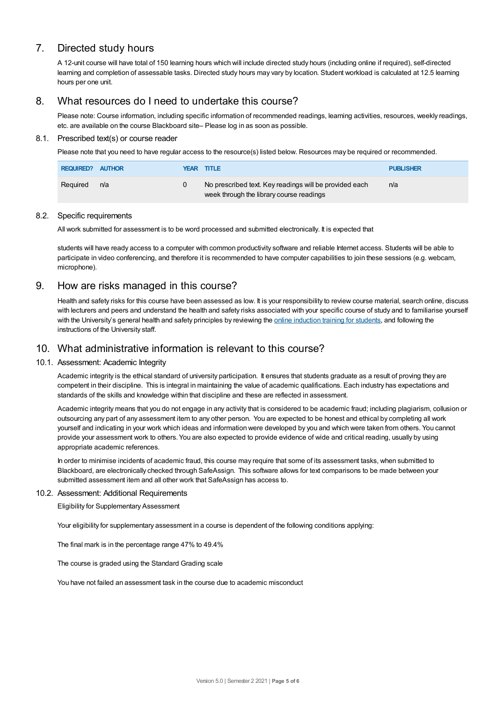# 7. Directed study hours

A 12-unit course will have total of 150 learning hours which will include directed study hours (including online if required), self-directed learning and completion of assessable tasks. Directed study hours may vary by location. Student workload is calculated at 12.5 learning hours per one unit.

# 8. What resources do I need to undertake this course?

Please note: Course information, including specific information of recommended readings, learning activities, resources, weekly readings, etc. are available on the course Blackboard site– Please log in as soon as possible.

## 8.1. Prescribed text(s) or course reader

Please note that you need to have regular access to the resource(s) listed below. Resources may be required or recommended.

| <b>REQUIRED? AUTHOR</b> |     | YEAR TITLE                                                                                         | <b>PUBLISHER</b> |
|-------------------------|-----|----------------------------------------------------------------------------------------------------|------------------|
| Reguired                | n/a | No prescribed text. Key readings will be provided each<br>week through the library course readings | n/a              |

#### 8.2. Specific requirements

All work submitted for assessment is to be word processed and submitted electronically. It is expected that

students will have ready access to a computer with common productivity software and reliable Internet access. Students will be able to participate in video conferencing, and therefore it is recommended to have computer capabilities to join these sessions (e.g. webcam, microphone).

# 9. How are risks managed in this course?

Health and safety risks for this course have been assessed as low. It is your responsibility to review course material, search online, discuss with lecturers and peers and understand the health and safety risks associated with your specific course of study and to familiarise yourself with the University's general health and safety principles by reviewing the online [induction](https://online.usc.edu.au/webapps/blackboard/content/listContentEditable.jsp?content_id=_632657_1&course_id=_14432_1) training for students, and following the instructions of the University staff.

# 10. What administrative information is relevant to this course?

## 10.1. Assessment: Academic Integrity

Academic integrity is the ethical standard of university participation. It ensures that students graduate as a result of proving they are competent in their discipline. This is integral in maintaining the value of academic qualifications. Each industry has expectations and standards of the skills and knowledge within that discipline and these are reflected in assessment.

Academic integrity means that you do not engage in any activity that is considered to be academic fraud; including plagiarism, collusion or outsourcing any part of any assessment item to any other person. You are expected to be honest and ethical by completing all work yourself and indicating in your work which ideas and information were developed by you and which were taken from others. You cannot provide your assessment work to others. You are also expected to provide evidence of wide and critical reading, usually by using appropriate academic references.

In order to minimise incidents of academic fraud, this course may require that some of its assessment tasks, when submitted to Blackboard, are electronically checked through SafeAssign. This software allows for text comparisons to be made between your submitted assessment item and all other work that SafeAssign has access to.

#### 10.2. Assessment: Additional Requirements

Eligibility for Supplementary Assessment

Your eligibility for supplementary assessment in a course is dependent of the following conditions applying:

The final mark is in the percentage range 47% to 49.4%

The course is graded using the Standard Grading scale

You have not failed an assessment task in the course due to academic misconduct